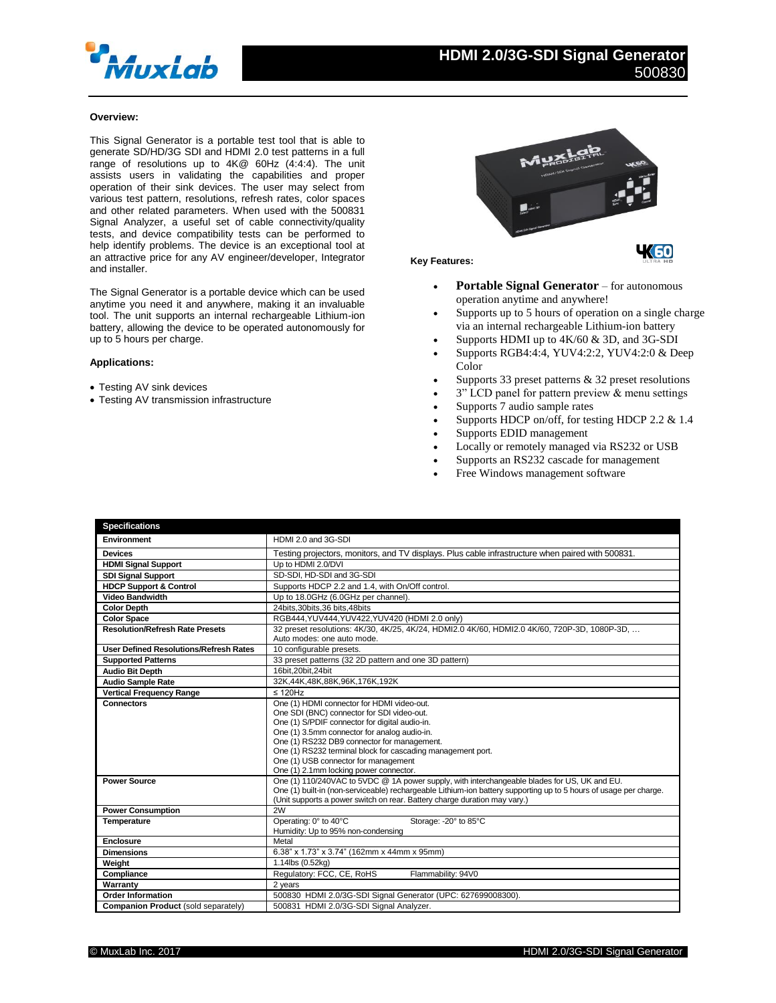

## **Overview:**

This Signal Generator is a portable test tool that is able to generate SD/HD/3G SDI and HDMI 2.0 test patterns in a full range of resolutions up to 4K@ 60Hz (4:4:4). The unit assists users in validating the capabilities and proper operation of their sink devices. The user may select from various test pattern, resolutions, refresh rates, color spaces and other related parameters. When used with the 500831 Signal Analyzer, a useful set of cable connectivity/quality tests, and device compatibility tests can be performed to help identify problems. The device is an exceptional tool at an attractive price for any AV engineer/developer, Integrator and installer.

The Signal Generator is a portable device which can be used anytime you need it and anywhere, making it an invaluable tool. The unit supports an internal rechargeable Lithium-ion battery, allowing the device to be operated autonomously for up to 5 hours per charge.

### **Applications:**

- Testing AV sink devices
- Testing AV transmission infrastructure



#### **Key Features:**

- **Portable Signal Generator** for autonomous operation anytime and anywhere!
- Supports up to 5 hours of operation on a single charge via an internal rechargeable Lithium-ion battery
- Supports HDMI up to 4K/60 & 3D, and 3G-SDI
- Supports RGB4:4:4, YUV4:2:2, YUV4:2:0 & Deep Color
- Supports 33 preset patterns & 32 preset resolutions
- 3" LCD panel for pattern preview & menu settings
- Supports 7 audio sample rates
- Supports HDCP on/off, for testing HDCP 2.2 & 1.4
- Supports EDID management
- Locally or remotely managed via RS232 or USB
- Supports an RS232 cascade for management
- Free Windows management software

| <b>Specifications</b>                         |                                                                                                                   |
|-----------------------------------------------|-------------------------------------------------------------------------------------------------------------------|
| <b>Environment</b>                            | HDMI 2.0 and 3G-SDI                                                                                               |
| <b>Devices</b>                                | Testing projectors, monitors, and TV displays. Plus cable infrastructure when paired with 500831.                 |
| <b>HDMI Signal Support</b>                    | Up to HDMI 2.0/DVI                                                                                                |
| <b>SDI Signal Support</b>                     | SD-SDI, HD-SDI and 3G-SDI                                                                                         |
| <b>HDCP Support &amp; Control</b>             | Supports HDCP 2.2 and 1.4, with On/Off control.                                                                   |
| <b>Video Bandwidth</b>                        | Up to 18.0GHz (6.0GHz per channel).                                                                               |
| <b>Color Depth</b>                            | 24bits.30bits.36 bits.48bits                                                                                      |
| <b>Color Space</b>                            | RGB444, YUV444, YUV422, YUV420 (HDMI 2.0 only)                                                                    |
| <b>Resolution/Refresh Rate Presets</b>        | 32 preset resolutions: 4K/30, 4K/25, 4K/24, HDMI2.0 4K/60, HDMI2.0 4K/60, 720P-3D, 1080P-3D,                      |
|                                               | Auto modes: one auto mode.                                                                                        |
| <b>User Defined Resolutions/Refresh Rates</b> | 10 configurable presets.                                                                                          |
| <b>Supported Patterns</b>                     | 33 preset patterns (32 2D pattern and one 3D pattern)                                                             |
| <b>Audio Bit Depth</b>                        | 16bit.20bit.24bit                                                                                                 |
| <b>Audio Sample Rate</b>                      | 32K,44K,48K,88K,96K,176K,192K                                                                                     |
| <b>Vertical Frequency Range</b>               | $\leq$ 120Hz                                                                                                      |
| <b>Connectors</b>                             | One (1) HDMI connector for HDMI video-out.                                                                        |
|                                               | One SDI (BNC) connector for SDI video-out.                                                                        |
|                                               | One (1) S/PDIF connector for digital audio-in.                                                                    |
|                                               | One (1) 3.5mm connector for analog audio-in.                                                                      |
|                                               | One (1) RS232 DB9 connector for management.<br>One (1) RS232 terminal block for cascading management port.        |
|                                               | One (1) USB connector for management                                                                              |
|                                               | One (1) 2.1mm locking power connector.                                                                            |
| <b>Power Source</b>                           | One (1) 110/240VAC to 5VDC @ 1A power supply, with interchangeable blades for US, UK and EU.                      |
|                                               | One (1) built-in (non-serviceable) rechargeable Lithium-ion battery supporting up to 5 hours of usage per charge. |
|                                               | (Unit supports a power switch on rear. Battery charge duration may vary.)                                         |
| <b>Power Consumption</b>                      | 2W                                                                                                                |
| Temperature                                   | Operating: 0° to 40°C<br>Storage: - 20° to 85°C                                                                   |
|                                               | Humidity: Up to 95% non-condensing                                                                                |
| <b>Enclosure</b>                              | Metal                                                                                                             |
| <b>Dimensions</b>                             | 6.38" x 1.73" x 3.74" (162mm x 44mm x 95mm)                                                                       |
| Weight                                        | 1.14lbs (0.52kg)                                                                                                  |
| Compliance                                    | Regulatory: FCC, CE, RoHS<br>Flammability: 94V0                                                                   |
| Warranty                                      | 2 years                                                                                                           |
| <b>Order Information</b>                      | 500830 HDMI 2.0/3G-SDI Signal Generator (UPC: 627699008300).                                                      |
| Companion Product (sold separately)           | 500831 HDMI 2.0/3G-SDI Signal Analyzer.                                                                           |